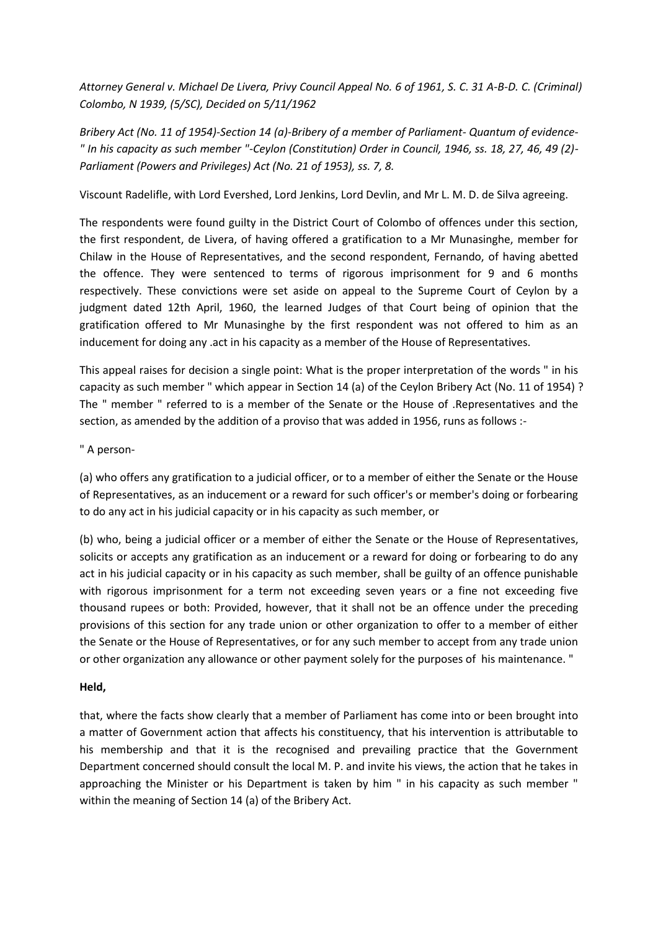*Attorney General v. Michael De Livera, Privy Council Appeal No. 6 of 1961, S. C. 31 A-B-D. C. (Criminal) Colombo, N 1939, (5/SC), Decided on 5/11/1962*

*Bribery Act (No. 11 of 1954)-Section 14 (a)-Bribery of a member of Parliament- Quantum of evidence- " In his capacity as such member "-Ceylon (Constitution) Order in Council, 1946, ss. 18, 27, 46, 49 (2)- Parliament (Powers and Privileges) Act (No. 21 of 1953), ss. 7, 8.*

Viscount Radelifle, with Lord Evershed, Lord Jenkins, Lord Devlin, and Mr L. M. D. de Silva agreeing.

The respondents were found guilty in the District Court of Colombo of offences under this section, the first respondent, de Livera, of having offered a gratification to a Mr Munasinghe, member for Chilaw in the House of Representatives, and the second respondent, Fernando, of having abetted the offence. They were sentenced to terms of rigorous imprisonment for 9 and 6 months respectively. These convictions were set aside on appeal to the Supreme Court of Ceylon by a judgment dated 12th April, 1960, the learned Judges of that Court being of opinion that the gratification offered to Mr Munasinghe by the first respondent was not offered to him as an inducement for doing any .act in his capacity as a member of the House of Representatives.

This appeal raises for decision a single point: What is the proper interpretation of the words " in his capacity as such member " which appear in Section 14 (a) of the Ceylon Bribery Act (No. 11 of 1954) ? The " member " referred to is a member of the Senate or the House of .Representatives and the section, as amended by the addition of a proviso that was added in 1956, runs as follows :-

" A person-

(a) who offers any gratification to a judicial officer, or to a member of either the Senate or the House of Representatives, as an inducement or a reward for such officer's or member's doing or forbearing to do any act in his judicial capacity or in his capacity as such member, or

(b) who, being a judicial officer or a member of either the Senate or the House of Representatives, solicits or accepts any gratification as an inducement or a reward for doing or forbearing to do any act in his judicial capacity or in his capacity as such member, shall be guilty of an offence punishable with rigorous imprisonment for a term not exceeding seven years or a fine not exceeding five thousand rupees or both: Provided, however, that it shall not be an offence under the preceding provisions of this section for any trade union or other organization to offer to a member of either the Senate or the House of Representatives, or for any such member to accept from any trade union or other organization any allowance or other payment solely for the purposes of his maintenance. "

## **Held,**

that, where the facts show clearly that a member of Parliament has come into or been brought into a matter of Government action that affects his constituency, that his intervention is attributable to his membership and that it is the recognised and prevailing practice that the Government Department concerned should consult the local M. P. and invite his views, the action that he takes in approaching the Minister or his Department is taken by him " in his capacity as such member " within the meaning of Section 14 (a) of the Bribery Act.